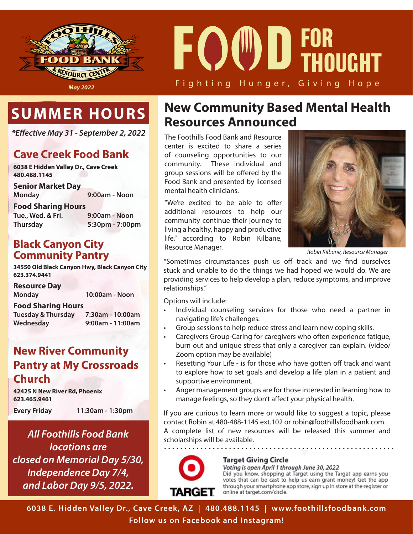

# Fighting Hunger, Giving Hope **F D FOR THOUGHT**

# **SUMMER HOURS**

*\*Eective May 31 - September 2, 2022*

### **Cave Creek Food Bank**

**6038 E Hidden Valley Dr., Cave Creek 480.488.1145**

**Senior Market Day**

**Monday 9:00am - Noon**

**Food Sharing Hours**

**Tue., Wed. & Fri. 9:00am - Noon Thursday 5:30pm - 7:00pm**

#### **Black Canyon City Community Pantry**

**34550 Old Black Canyon Hwy, Black Canyon City 623.374.9441**

**Resource Day**

| Monday |  |  |  | 10:00am - Noon |
|--------|--|--|--|----------------|
|        |  |  |  |                |

**Food Sharing Hours**

**Tuesday & Thursday 7:30am - 10:00am Wednesday 9:00am - 11:00am**

#### **New River Community Pantry at My Crossroads Church**

**42425 N New River Rd, Phoenix 623.465.9461**

**Every Friday 11:30am - 1:30pm**

*All Foothills Food Bank locations are closed on Memorial Day 5/30, Independence Day 7/4, and Labor Day 9/5, 2022.*

# **New Community Based Mental Health Resources Announced**

The Foothills Food Bank and Resource center is excited to share a series of counseling opportunities to our community. These individual and group sessions will be offered by the Food Bank and presented by licensed mental health clinicians.

"We're excited to be able to offer additional resources to help our community continue their journey to living a healthy, happy and productive life," according to Robin Kilbane, Resource Manager.



*Robin Kilbane, Resource Manager*

"Sometimes circumstances push us off track and we find ourselves stuck and unable to do the things we had hoped we would do. We are providing services to help develop a plan, reduce symptoms, and improve relationships."

Options will include:

- Individual counseling services for those who need a partner in navigating life's challenges.
- Group sessions to help reduce stress and learn new coping skills.
- Caregivers Group-Caring for caregivers who often experience fatigue, burn out and unique stress that only a caregiver can explain. (video/ Zoom option may be available)
- Resetting Your Life is for those who have gotten off track and want to explore how to set goals and develop a life plan in a patient and supportive environment.
- Anger management groups are for those interested in learning how to manage feelings, so they don't affect your physical health.

If you are curious to learn more or would like to suggest a topic, please contact Robin at 480-488-1145 ext.102 or robin@foothillsfoodbank.com. A complete list of new resources will be released this summer and scholarships will be available.



#### **Target Giving Circle**

Voting is open April 1 through June 30, 2022 Did you know, shopping at Target using the Target app earns you votes that can be cast to help us earn grant money! Get the app through your smartphone app store, sign up in store at the register or online at target.com/circle.

**6038 E. Hidden Valley Dr., Cave Creek, AZ | 480.488.1145 | www.foothillsfoodbank.com Follow us on Facebook and Instagram!**